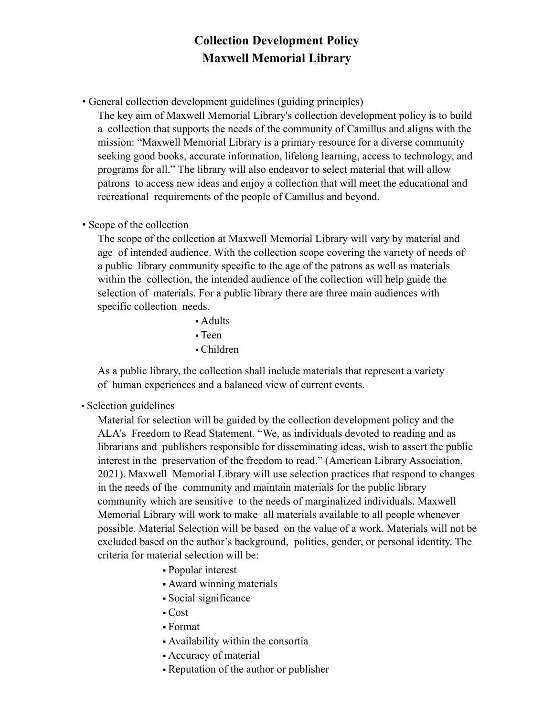## **Collection Development Policy Maxwell Memorial Library**

• General collection development guidelines (guiding principles)

The key aim of Maxwell Memorial Library's collection development policy is to build a collection that supports the needs of the community of Camillus and aligns with the mission: "Maxwell Memorial Library is a primary resource for a diverse community seeking good books, accurate information, lifelong learning, access to technology, and programs for all." The library will also endeavor to select material that will allow patrons to access new ideas and enjoy a collection that will meet the educational and recreational requirements of the people of Camillus and beyond.

• Scope of the collection

The scope of the collection at Maxwell Memorial Library will vary by material and age of intended audience. With the collection scope covering the variety of needs of a public library community specific to the age of the patrons as well as materials within the collection, the intended audience of the collection will help guide the selection of materials. For a public library there are three main audiences with specific collection needs.

▪ Adults

▪ Teen

▪ Children

As a public library, the collection shall include materials that represent a variety of human experiences and a balanced view of current events.

• Selection guidelines

Material for selection will be guided by the collection development policy and the ALA's Freedom to Read Statement. "We, as individuals devoted to reading and as librarians and publishers responsible for disseminating ideas, wish to assert the public interest in the preservation of the freedom to read." (American Library Association, 2021). Maxwell Memorial Library will use selection practices that respond to changes in the needs of the community and maintain materials for the public library community which are sensitive to the needs of marginalized individuals. Maxwell Memorial Library will work to make all materials available to all people whenever possible. Material Selection will be based on the value of a work. Materials will not be excluded based on the author's background, politics, gender, or personal identity. The criteria for material selection will be:

- Popular interest
- Award winning materials
- Social significance
- $\text{-} \text{Cost}$
- Format
- Availability within the consortia
- Accuracy of material
- Reputation of the author or publisher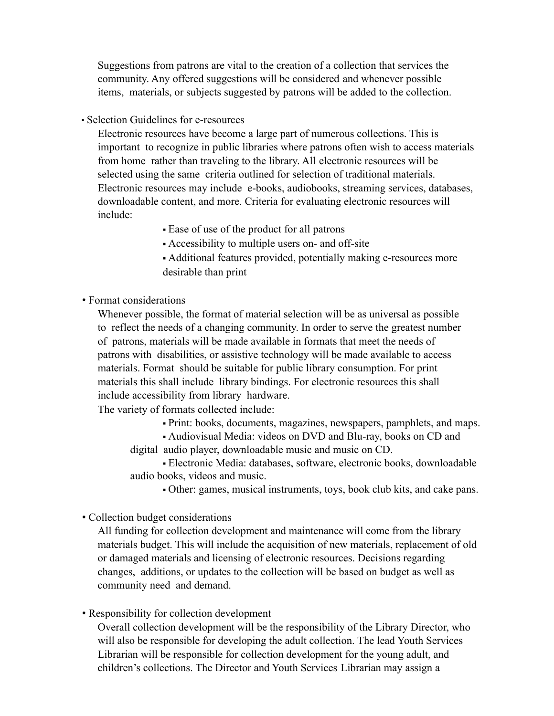Suggestions from patrons are vital to the creation of a collection that services the community. Any offered suggestions will be considered and whenever possible items, materials, or subjects suggested by patrons will be added to the collection.

• Selection Guidelines for e-resources

Electronic resources have become a large part of numerous collections. This is important to recognize in public libraries where patrons often wish to access materials from home rather than traveling to the library. All electronic resources will be selected using the same criteria outlined for selection of traditional materials. Electronic resources may include e-books, audiobooks, streaming services, databases, downloadable content, and more. Criteria for evaluating electronic resources will include:

- Ease of use of the product for all patrons
- Accessibility to multiple users on- and off-site
- Additional features provided, potentially making e-resources more desirable than print

• Format considerations

Whenever possible, the format of material selection will be as universal as possible to reflect the needs of a changing community. In order to serve the greatest number of patrons, materials will be made available in formats that meet the needs of patrons with disabilities, or assistive technology will be made available to access materials. Format should be suitable for public library consumption. For print materials this shall include library bindings. For electronic resources this shall include accessibility from library hardware.

The variety of formats collected include:

▪ Print: books, documents, magazines, newspapers, pamphlets, and maps.

▪ Audiovisual Media: videos on DVD and Blu-ray, books on CD and digital audio player, downloadable music and music on CD.

▪ Electronic Media: databases, software, electronic books, downloadable audio books, videos and music.

▪ Other: games, musical instruments, toys, book club kits, and cake pans.

• Collection budget considerations

All funding for collection development and maintenance will come from the library materials budget. This will include the acquisition of new materials, replacement of old or damaged materials and licensing of electronic resources. Decisions regarding changes, additions, or updates to the collection will be based on budget as well as community need and demand.

• Responsibility for collection development

Overall collection development will be the responsibility of the Library Director, who will also be responsible for developing the adult collection. The lead Youth Services Librarian will be responsible for collection development for the young adult, and children's collections. The Director and Youth Services Librarian may assign a